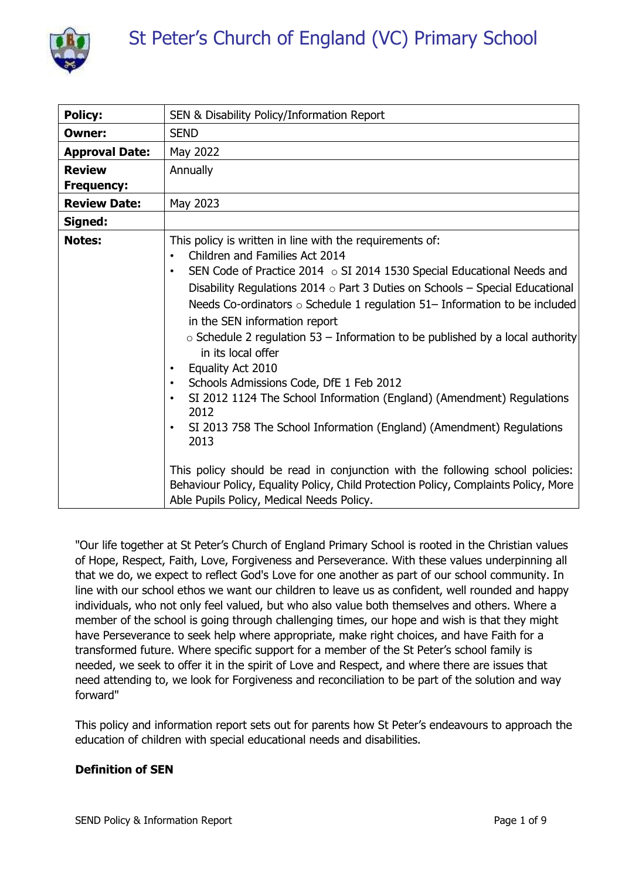

| <b>Policy:</b>        | SEN & Disability Policy/Information Report                                                                                                                                                                                                                                                                                                                                                                                                                                                                                                                                                                                                                                                                                                                                                                                                                                                                                                                                                                                             |
|-----------------------|----------------------------------------------------------------------------------------------------------------------------------------------------------------------------------------------------------------------------------------------------------------------------------------------------------------------------------------------------------------------------------------------------------------------------------------------------------------------------------------------------------------------------------------------------------------------------------------------------------------------------------------------------------------------------------------------------------------------------------------------------------------------------------------------------------------------------------------------------------------------------------------------------------------------------------------------------------------------------------------------------------------------------------------|
| Owner:                | <b>SEND</b>                                                                                                                                                                                                                                                                                                                                                                                                                                                                                                                                                                                                                                                                                                                                                                                                                                                                                                                                                                                                                            |
| <b>Approval Date:</b> | May 2022                                                                                                                                                                                                                                                                                                                                                                                                                                                                                                                                                                                                                                                                                                                                                                                                                                                                                                                                                                                                                               |
| <b>Review</b>         | Annually                                                                                                                                                                                                                                                                                                                                                                                                                                                                                                                                                                                                                                                                                                                                                                                                                                                                                                                                                                                                                               |
| <b>Frequency:</b>     |                                                                                                                                                                                                                                                                                                                                                                                                                                                                                                                                                                                                                                                                                                                                                                                                                                                                                                                                                                                                                                        |
| <b>Review Date:</b>   | May 2023                                                                                                                                                                                                                                                                                                                                                                                                                                                                                                                                                                                                                                                                                                                                                                                                                                                                                                                                                                                                                               |
| Signed:               |                                                                                                                                                                                                                                                                                                                                                                                                                                                                                                                                                                                                                                                                                                                                                                                                                                                                                                                                                                                                                                        |
| <b>Notes:</b>         | This policy is written in line with the requirements of:<br>Children and Families Act 2014<br>$\bullet$<br>SEN Code of Practice 2014 $\circ$ SI 2014 1530 Special Educational Needs and<br>$\bullet$<br>Disability Regulations 2014 $\circ$ Part 3 Duties on Schools – Special Educational<br>Needs Co-ordinators $\circ$ Schedule 1 regulation 51– Information to be included<br>in the SEN information report<br>$\circ$ Schedule 2 regulation 53 – Information to be published by a local authority<br>in its local offer<br>Equality Act 2010<br>$\bullet$<br>Schools Admissions Code, DfE 1 Feb 2012<br>$\bullet$<br>SI 2012 1124 The School Information (England) (Amendment) Regulations<br>$\bullet$<br>2012<br>SI 2013 758 The School Information (England) (Amendment) Regulations<br>$\bullet$<br>2013<br>This policy should be read in conjunction with the following school policies:<br>Behaviour Policy, Equality Policy, Child Protection Policy, Complaints Policy, More<br>Able Pupils Policy, Medical Needs Policy. |

"Our life together at St Peter's Church of England Primary School is rooted in the Christian values of Hope, Respect, Faith, Love, Forgiveness and Perseverance. With these values underpinning all that we do, we expect to reflect God's Love for one another as part of our school community. In line with our school ethos we want our children to leave us as confident, well rounded and happy individuals, who not only feel valued, but who also value both themselves and others. Where a member of the school is going through challenging times, our hope and wish is that they might have Perseverance to seek help where appropriate, make right choices, and have Faith for a transformed future. Where specific support for a member of the St Peter's school family is needed, we seek to offer it in the spirit of Love and Respect, and where there are issues that need attending to, we look for Forgiveness and reconciliation to be part of the solution and way forward"

This policy and information report sets out for parents how St Peter's endeavours to approach the education of children with special educational needs and disabilities.

## **Definition of SEN**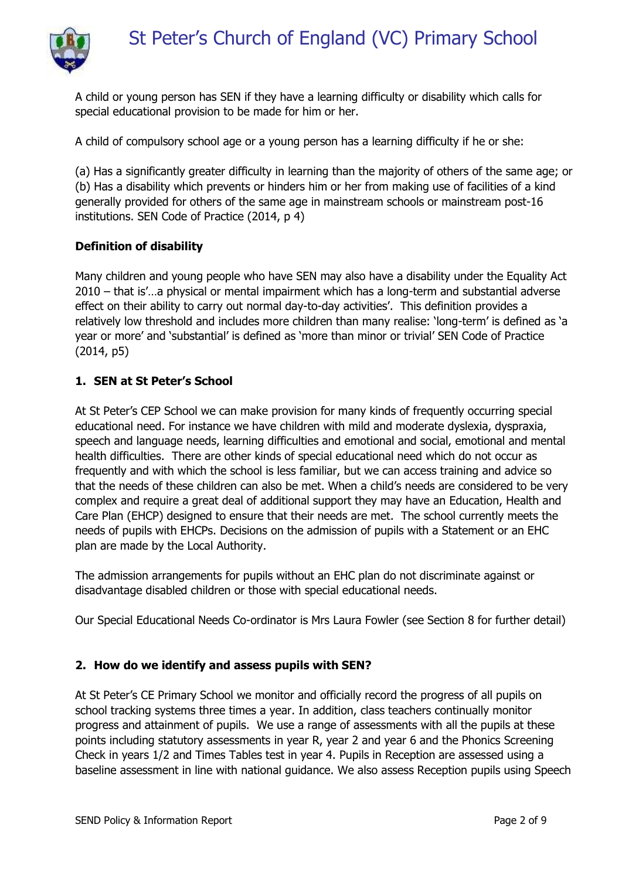

A child or young person has SEN if they have a learning difficulty or disability which calls for special educational provision to be made for him or her.

A child of compulsory school age or a young person has a learning difficulty if he or she:

(a) Has a significantly greater difficulty in learning than the majority of others of the same age; or (b) Has a disability which prevents or hinders him or her from making use of facilities of a kind generally provided for others of the same age in mainstream schools or mainstream post-16 institutions. SEN Code of Practice (2014, p 4)

### **Definition of disability**

Many children and young people who have SEN may also have a disability under the Equality Act 2010 – that is'…a physical or mental impairment which has a long-term and substantial adverse effect on their ability to carry out normal day-to-day activities'. This definition provides a relatively low threshold and includes more children than many realise: 'long-term' is defined as 'a year or more' and 'substantial' is defined as 'more than minor or trivial' SEN Code of Practice (2014, p5)

### **1. SEN at St Peter's School**

At St Peter's CEP School we can make provision for many kinds of frequently occurring special educational need. For instance we have children with mild and moderate dyslexia, dyspraxia, speech and language needs, learning difficulties and emotional and social, emotional and mental health difficulties. There are other kinds of special educational need which do not occur as frequently and with which the school is less familiar, but we can access training and advice so that the needs of these children can also be met. When a child's needs are considered to be very complex and require a great deal of additional support they may have an Education, Health and Care Plan (EHCP) designed to ensure that their needs are met. The school currently meets the needs of pupils with EHCPs. Decisions on the admission of pupils with a Statement or an EHC plan are made by the Local Authority.

The admission arrangements for pupils without an EHC plan do not discriminate against or disadvantage disabled children or those with special educational needs.

Our Special Educational Needs Co-ordinator is Mrs Laura Fowler (see Section 8 for further detail)

#### **2. How do we identify and assess pupils with SEN?**

At St Peter's CE Primary School we monitor and officially record the progress of all pupils on school tracking systems three times a year. In addition, class teachers continually monitor progress and attainment of pupils. We use a range of assessments with all the pupils at these points including statutory assessments in year R, year 2 and year 6 and the Phonics Screening Check in years 1/2 and Times Tables test in year 4. Pupils in Reception are assessed using a baseline assessment in line with national guidance. We also assess Reception pupils using Speech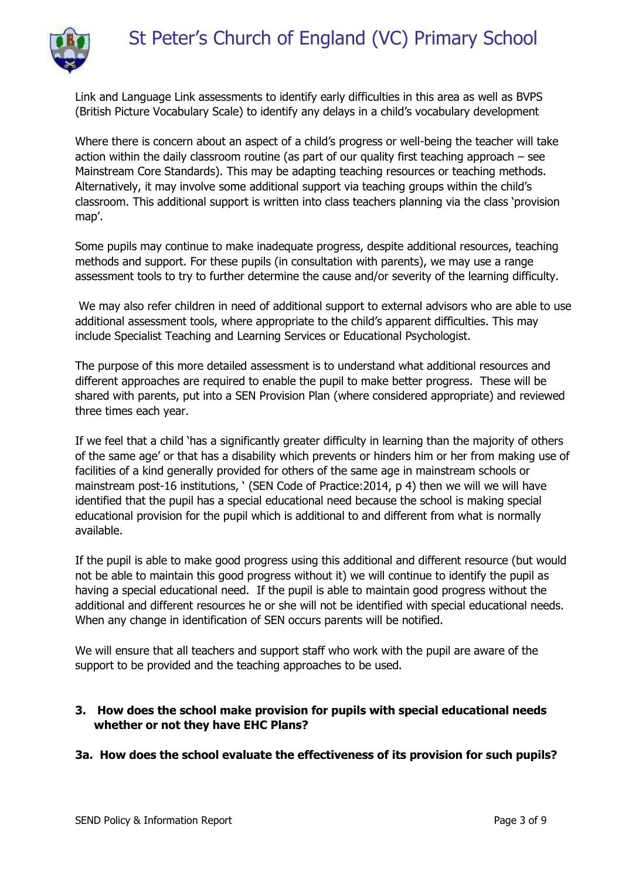

Link and Language Link assessments to identify early difficulties in this area as well as BVPS (British Picture Vocabulary Scale) to identify any delays in a child's vocabulary development

Where there is concern about an aspect of a child's progress or well-being the teacher will take action within the daily classroom routine (as part of our quality first teaching approach – see Mainstream Core Standards). This may be adapting teaching resources or teaching methods. Alternatively, it may involve some additional support via teaching groups within the child's classroom. This additional support is written into class teachers planning via the class 'provision map'.

Some pupils may continue to make inadequate progress, despite additional resources, teaching methods and support. For these pupils (in consultation with parents), we may use a range assessment tools to try to further determine the cause and/or severity of the learning difficulty.

We may also refer children in need of additional support to external advisors who are able to use additional assessment tools, where appropriate to the child's apparent difficulties. This may include Specialist Teaching and Learning Services or Educational Psychologist.

The purpose of this more detailed assessment is to understand what additional resources and different approaches are required to enable the pupil to make better progress. These will be shared with parents, put into a SEN Provision Plan (where considered appropriate) and reviewed three times each year.

If we feel that a child 'has a significantly greater difficulty in learning than the majority of others of the same age' or that has a disability which prevents or hinders him or her from making use of facilities of a kind generally provided for others of the same age in mainstream schools or mainstream post-16 institutions, ' (SEN Code of Practice: 2014, p 4) then we will we will have identified that the pupil has a special educational need because the school is making special educational provision for the pupil which is additional to and different from what is normally available.

If the pupil is able to make good progress using this additional and different resource (but would not be able to maintain this good progress without it) we will continue to identify the pupil as having a special educational need. If the pupil is able to maintain good progress without the additional and different resources he or she will not be identified with special educational needs. When any change in identification of SEN occurs parents will be notified.

We will ensure that all teachers and support staff who work with the pupil are aware of the support to be provided and the teaching approaches to be used.

## **3. How does the school make provision for pupils with special educational needs whether or not they have EHC Plans?**

## **3a. How does the school evaluate the effectiveness of its provision for such pupils?**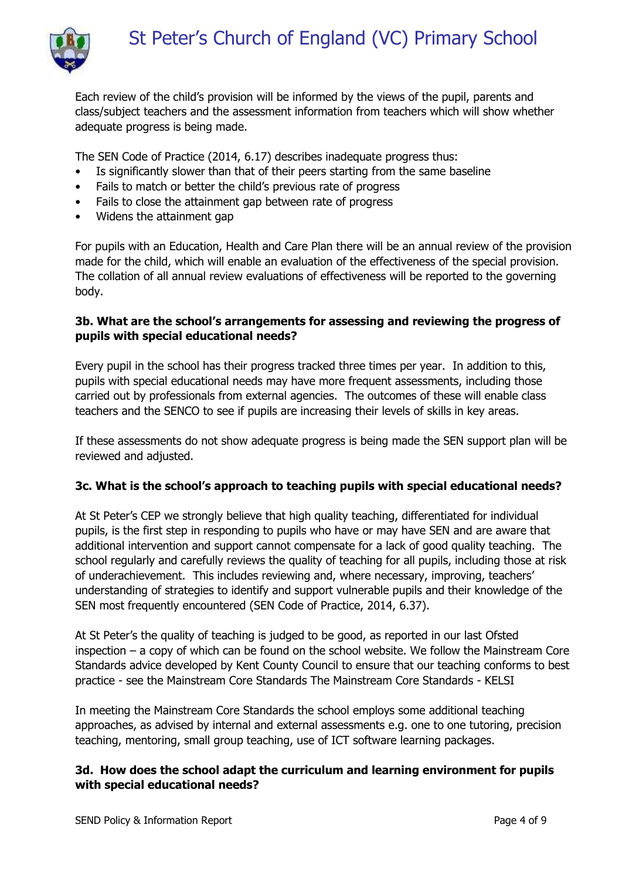

Each review of the child's provision will be informed by the views of the pupil, parents and class/subject teachers and the assessment information from teachers which will show whether adequate progress is being made.

The SEN Code of Practice (2014, 6.17) describes inadequate progress thus:

- Is significantly slower than that of their peers starting from the same baseline
- Fails to match or better the child's previous rate of progress
- Fails to close the attainment gap between rate of progress
- Widens the attainment gap

For pupils with an Education, Health and Care Plan there will be an annual review of the provision made for the child, which will enable an evaluation of the effectiveness of the special provision. The collation of all annual review evaluations of effectiveness will be reported to the governing body.

### **3b. What are the school's arrangements for assessing and reviewing the progress of pupils with special educational needs?**

Every pupil in the school has their progress tracked three times per year. In addition to this, pupils with special educational needs may have more frequent assessments, including those carried out by professionals from external agencies. The outcomes of these will enable class teachers and the SENCO to see if pupils are increasing their levels of skills in key areas.

If these assessments do not show adequate progress is being made the SEN support plan will be reviewed and adjusted.

## **3c. What is the school's approach to teaching pupils with special educational needs?**

At St Peter's CEP we strongly believe that high quality teaching, differentiated for individual pupils, is the first step in responding to pupils who have or may have SEN and are aware that additional intervention and support cannot compensate for a lack of good quality teaching. The school regularly and carefully reviews the quality of teaching for all pupils, including those at risk of underachievement. This includes reviewing and, where necessary, improving, teachers' understanding of strategies to identify and support vulnerable pupils and their knowledge of the SEN most frequently encountered (SEN Code of Practice, 2014, 6.37).

At St Peter's the quality of teaching is judged to be good, as reported in our last Ofsted inspection – a copy of which can be found on the school website. We follow the Mainstream Core Standards advice developed by Kent County Council to ensure that our teaching conforms to best practice - see the Mainstream Core Standards The Mainstream Core Standards - KELSI

In meeting the Mainstream Core Standards the school employs some additional teaching approaches, as advised by internal and external assessments e.g. one to one tutoring, precision teaching, mentoring, small group teaching, use of ICT software learning packages.

### **3d. How does the school adapt the curriculum and learning environment for pupils with special educational needs?**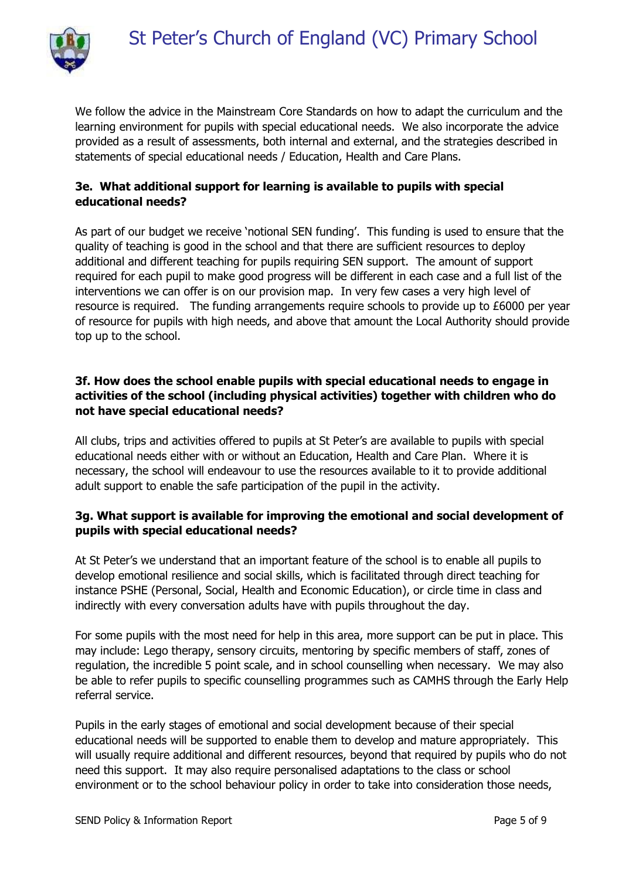

We follow the advice in the Mainstream Core Standards on how to adapt the curriculum and the learning environment for pupils with special educational needs. We also incorporate the advice provided as a result of assessments, both internal and external, and the strategies described in statements of special educational needs / Education, Health and Care Plans.

## **3e. What additional support for learning is available to pupils with special educational needs?**

As part of our budget we receive 'notional SEN funding'. This funding is used to ensure that the quality of teaching is good in the school and that there are sufficient resources to deploy additional and different teaching for pupils requiring SEN support. The amount of support required for each pupil to make good progress will be different in each case and a full list of the interventions we can offer is on our provision map. In very few cases a very high level of resource is required. The funding arrangements require schools to provide up to £6000 per year of resource for pupils with high needs, and above that amount the Local Authority should provide top up to the school.

## **3f. How does the school enable pupils with special educational needs to engage in activities of the school (including physical activities) together with children who do not have special educational needs?**

All clubs, trips and activities offered to pupils at St Peter's are available to pupils with special educational needs either with or without an Education, Health and Care Plan. Where it is necessary, the school will endeavour to use the resources available to it to provide additional adult support to enable the safe participation of the pupil in the activity.

## **3g. What support is available for improving the emotional and social development of pupils with special educational needs?**

At St Peter's we understand that an important feature of the school is to enable all pupils to develop emotional resilience and social skills, which is facilitated through direct teaching for instance PSHE (Personal, Social, Health and Economic Education), or circle time in class and indirectly with every conversation adults have with pupils throughout the day.

For some pupils with the most need for help in this area, more support can be put in place. This may include: Lego therapy, sensory circuits, mentoring by specific members of staff, zones of regulation, the incredible 5 point scale, and in school counselling when necessary. We may also be able to refer pupils to specific counselling programmes such as CAMHS through the Early Help referral service.

Pupils in the early stages of emotional and social development because of their special educational needs will be supported to enable them to develop and mature appropriately. This will usually require additional and different resources, beyond that required by pupils who do not need this support. It may also require personalised adaptations to the class or school environment or to the school behaviour policy in order to take into consideration those needs,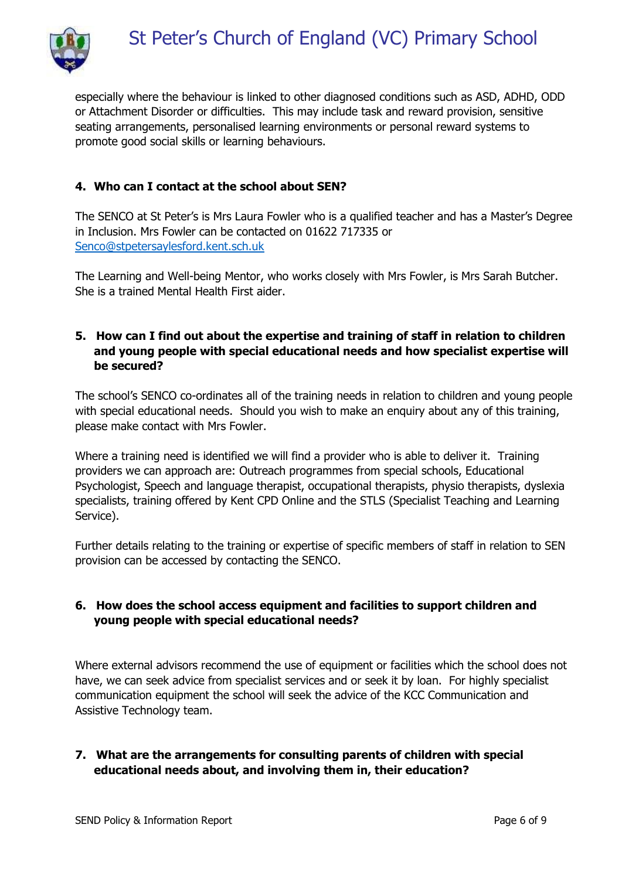

especially where the behaviour is linked to other diagnosed conditions such as ASD, ADHD, ODD or Attachment Disorder or difficulties. This may include task and reward provision, sensitive seating arrangements, personalised learning environments or personal reward systems to promote good social skills or learning behaviours.

# **4. Who can I contact at the school about SEN?**

The SENCO at St Peter's is Mrs Laura Fowler who is a qualified teacher and has a Master's Degree in Inclusion. Mrs Fowler can be contacted on 01622 717335 or [Senco@stpetersaylesford.kent.sch.uk](mailto:Senco@stpetersaylesford.kent.sch.uk)

The Learning and Well-being Mentor, who works closely with Mrs Fowler, is Mrs Sarah Butcher. She is a trained Mental Health First aider.

## **5. How can I find out about the expertise and training of staff in relation to children and young people with special educational needs and how specialist expertise will be secured?**

The school's SENCO co-ordinates all of the training needs in relation to children and young people with special educational needs. Should you wish to make an enquiry about any of this training, please make contact with Mrs Fowler.

Where a training need is identified we will find a provider who is able to deliver it. Training providers we can approach are: Outreach programmes from special schools, Educational Psychologist, Speech and language therapist, occupational therapists, physio therapists, dyslexia specialists, training offered by Kent CPD Online and the STLS (Specialist Teaching and Learning Service).

Further details relating to the training or expertise of specific members of staff in relation to SEN provision can be accessed by contacting the SENCO.

## **6. How does the school access equipment and facilities to support children and young people with special educational needs?**

Where external advisors recommend the use of equipment or facilities which the school does not have, we can seek advice from specialist services and or seek it by loan. For highly specialist communication equipment the school will seek the advice of the KCC Communication and Assistive Technology team.

### **7. What are the arrangements for consulting parents of children with special educational needs about, and involving them in, their education?**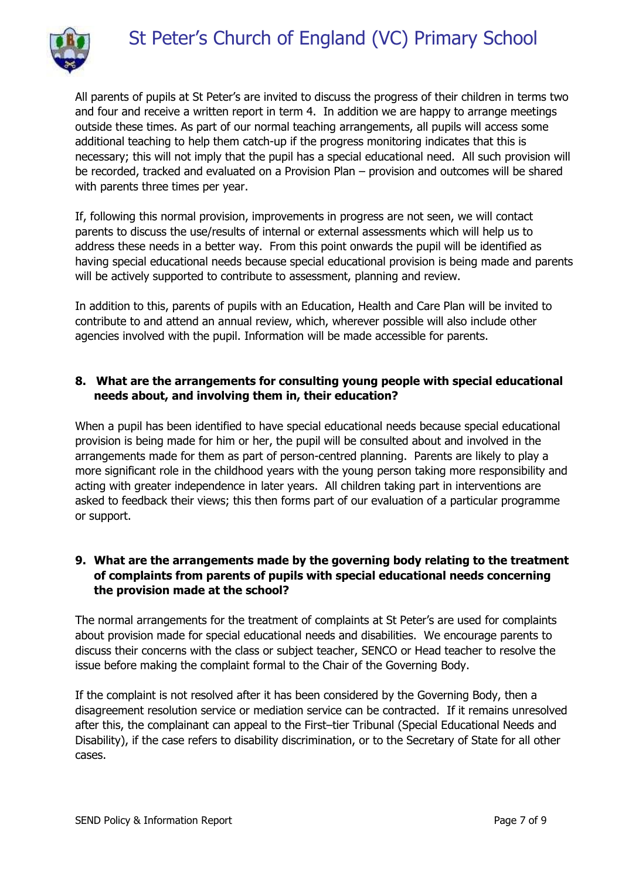

All parents of pupils at St Peter's are invited to discuss the progress of their children in terms two and four and receive a written report in term 4. In addition we are happy to arrange meetings outside these times. As part of our normal teaching arrangements, all pupils will access some additional teaching to help them catch-up if the progress monitoring indicates that this is necessary; this will not imply that the pupil has a special educational need. All such provision will be recorded, tracked and evaluated on a Provision Plan – provision and outcomes will be shared with parents three times per year.

If, following this normal provision, improvements in progress are not seen, we will contact parents to discuss the use/results of internal or external assessments which will help us to address these needs in a better way. From this point onwards the pupil will be identified as having special educational needs because special educational provision is being made and parents will be actively supported to contribute to assessment, planning and review.

In addition to this, parents of pupils with an Education, Health and Care Plan will be invited to contribute to and attend an annual review, which, wherever possible will also include other agencies involved with the pupil. Information will be made accessible for parents.

## **8. What are the arrangements for consulting young people with special educational needs about, and involving them in, their education?**

When a pupil has been identified to have special educational needs because special educational provision is being made for him or her, the pupil will be consulted about and involved in the arrangements made for them as part of person-centred planning. Parents are likely to play a more significant role in the childhood years with the young person taking more responsibility and acting with greater independence in later years. All children taking part in interventions are asked to feedback their views; this then forms part of our evaluation of a particular programme or support.

## **9. What are the arrangements made by the governing body relating to the treatment of complaints from parents of pupils with special educational needs concerning the provision made at the school?**

The normal arrangements for the treatment of complaints at St Peter's are used for complaints about provision made for special educational needs and disabilities. We encourage parents to discuss their concerns with the class or subject teacher, SENCO or Head teacher to resolve the issue before making the complaint formal to the Chair of the Governing Body.

If the complaint is not resolved after it has been considered by the Governing Body, then a disagreement resolution service or mediation service can be contracted. If it remains unresolved after this, the complainant can appeal to the First–tier Tribunal (Special Educational Needs and Disability), if the case refers to disability discrimination, or to the Secretary of State for all other cases.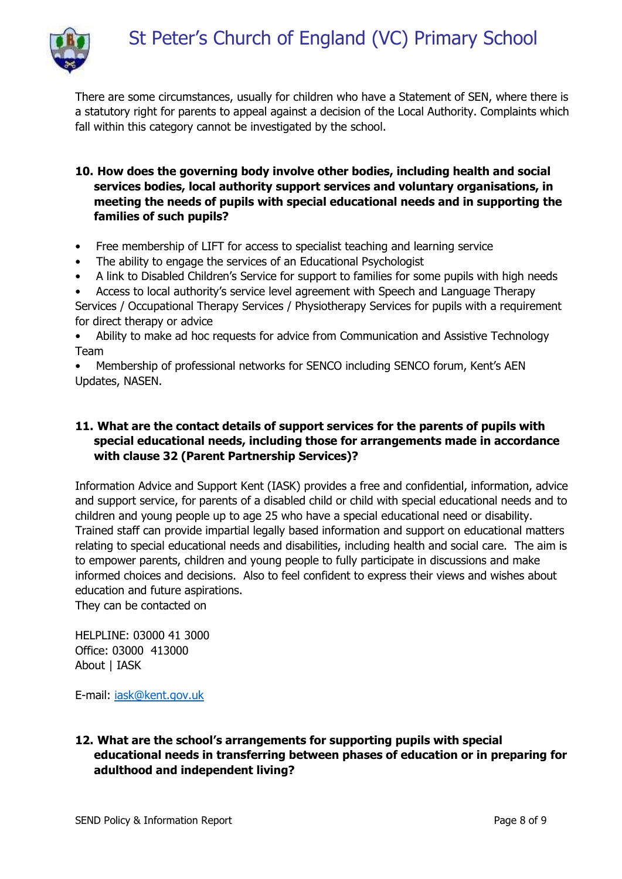

There are some circumstances, usually for children who have a Statement of SEN, where there is a statutory right for parents to appeal against a decision of the Local Authority. Complaints which fall within this category cannot be investigated by the school.

- **10. How does the governing body involve other bodies, including health and social services bodies, local authority support services and voluntary organisations, in meeting the needs of pupils with special educational needs and in supporting the families of such pupils?**
- Free membership of LIFT for access to specialist teaching and learning service
- The ability to engage the services of an Educational Psychologist
- A link to Disabled Children's Service for support to families for some pupils with high needs
- Access to local authority's service level agreement with Speech and Language Therapy

Services / Occupational Therapy Services / Physiotherapy Services for pupils with a requirement for direct therapy or advice

• Ability to make ad hoc requests for advice from Communication and Assistive Technology Team

• Membership of professional networks for SENCO including SENCO forum, Kent's AEN Updates, NASEN.

## **11. What are the contact details of support services for the parents of pupils with special educational needs, including those for arrangements made in accordance with clause 32 (Parent Partnership Services)?**

Information Advice and Support Kent (IASK) provides a free and confidential, information, advice and support service, for parents of a disabled child or child with special educational needs and to children and young people up to age 25 who have a special educational need or disability. Trained staff can provide impartial legally based information and support on educational matters relating to special educational needs and disabilities, including health and social care. The aim is to empower parents, children and young people to fully participate in discussions and make informed choices and decisions. Also to feel confident to express their views and wishes about education and future aspirations.

They can be contacted on

HELPLINE: 03000 41 3000 Office: 03000 413000 About | IASK

E-mail: [iask@kent.gov.uk](mailto:iask@kent.gov.uk)

### **12. What are the school's arrangements for supporting pupils with special educational needs in transferring between phases of education or in preparing for adulthood and independent living?**